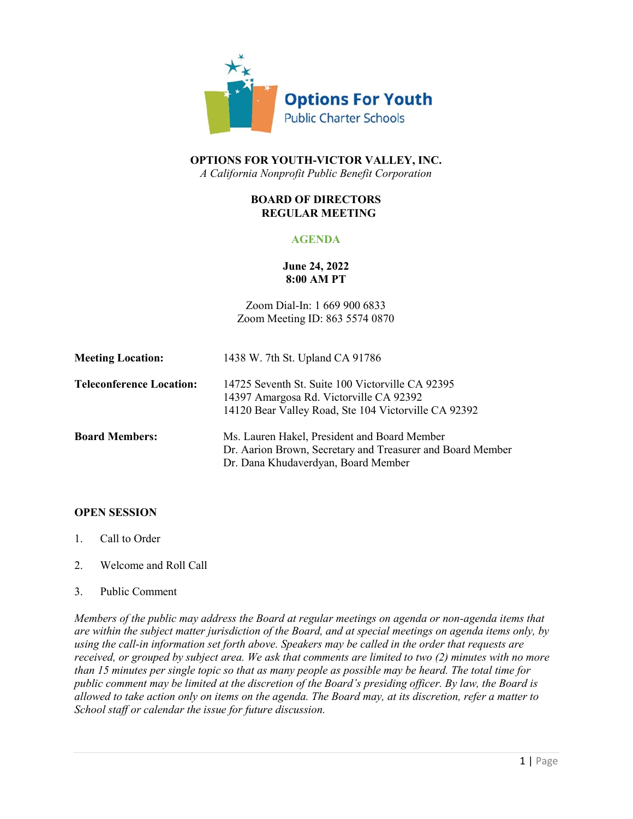

# **OPTIONS FOR YOUTH-VICTOR VALLEY, INC.** *A California Nonprofit Public Benefit Corporation*

## **BOARD OF DIRECTORS REGULAR MEETING**

# **AGENDA**

# **June 24, 2022 8:00 AM PT**

Zoom Dial-In: 1 669 900 6833 Zoom Meeting ID: 863 5574 0870

| <b>Meeting Location:</b>        | 1438 W. 7th St. Upland CA 91786                                                                                                                     |
|---------------------------------|-----------------------------------------------------------------------------------------------------------------------------------------------------|
| <b>Teleconference Location:</b> | 14725 Seventh St. Suite 100 Victorville CA 92395<br>14397 Amargosa Rd. Victorville CA 92392<br>14120 Bear Valley Road, Ste 104 Victorville CA 92392 |
| <b>Board Members:</b>           | Ms. Lauren Hakel, President and Board Member<br>Dr. Aarion Brown, Secretary and Treasurer and Board Member<br>Dr. Dana Khudaverdyan, Board Member   |

#### **OPEN SESSION**

- 1. Call to Order
- 2. Welcome and Roll Call
- 3. Public Comment

*Members of the public may address the Board at regular meetings on agenda or non-agenda items that are within the subject matter jurisdiction of the Board, and at special meetings on agenda items only, by using the call-in information set forth above. Speakers may be called in the order that requests are received, or grouped by subject area. We ask that comments are limited to two (2) minutes with no more than 15 minutes per single topic so that as many people as possible may be heard. The total time for public comment may be limited at the discretion of the Board's presiding officer. By law, the Board is allowed to take action only on items on the agenda. The Board may, at its discretion, refer a matter to School staff or calendar the issue for future discussion.*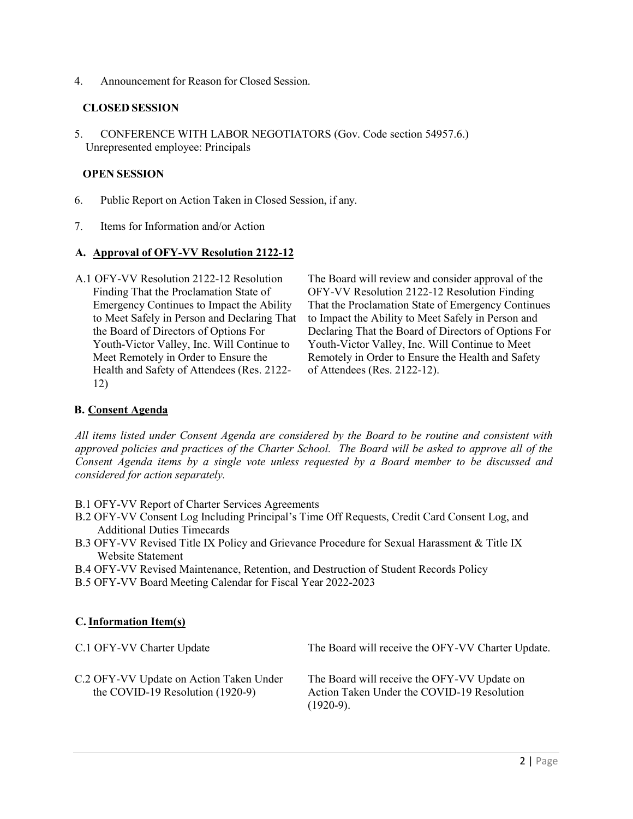4. Announcement for Reason for Closed Session.

### **CLOSED SESSION**

5. CONFERENCE WITH LABOR NEGOTIATORS (Gov. Code section 54957.6.) Unrepresented employee: Principals

### **OPEN SESSION**

- 6. Public Report on Action Taken in Closed Session, if any.
- 7. Items for Information and/or Action

### **A. Approval of OFY-VV Resolution 2122-12**

A.1 OFY-VV Resolution 2122-12 Resolution Finding That the Proclamation State of Emergency Continues to Impact the Ability to Meet Safely in Person and Declaring That the Board of Directors of Options For Youth-Victor Valley, Inc. Will Continue to Meet Remotely in Order to Ensure the Health and Safety of Attendees (Res. 2122- 12)

The Board will review and consider approval of the OFY-VV Resolution 2122-12 Resolution Finding That the Proclamation State of Emergency Continues to Impact the Ability to Meet Safely in Person and Declaring That the Board of Directors of Options For Youth-Victor Valley, Inc. Will Continue to Meet Remotely in Order to Ensure the Health and Safety of Attendees (Res. 2122-12).

# **B. Consent Agenda**

*All items listed under Consent Agenda are considered by the Board to be routine and consistent with approved policies and practices of the Charter School. The Board will be asked to approve all of the Consent Agenda items by a single vote unless requested by a Board member to be discussed and considered for action separately.*

- B.1 OFY-VV Report of Charter Services Agreements
- B.2 OFY-VV Consent Log Including Principal's Time Off Requests, Credit Card Consent Log, and Additional Duties Timecards
- B.3 OFY-VV Revised Title IX Policy and Grievance Procedure for Sexual Harassment & Title IX Website Statement
- B.4 OFY-VV Revised Maintenance, Retention, and Destruction of Student Records Policy
- B.5 OFY-VV Board Meeting Calendar for Fiscal Year 2022-2023

# **C.Information Item(s)**

| C.1 OFY-VV Charter Update                                                     | The Board will receive the OFY-VV Charter Update.                                                        |
|-------------------------------------------------------------------------------|----------------------------------------------------------------------------------------------------------|
| C.2 OFY-VV Update on Action Taken Under<br>the COVID-19 Resolution $(1920-9)$ | The Board will receive the OFY-VV Update on<br>Action Taken Under the COVID-19 Resolution<br>$(1920-9).$ |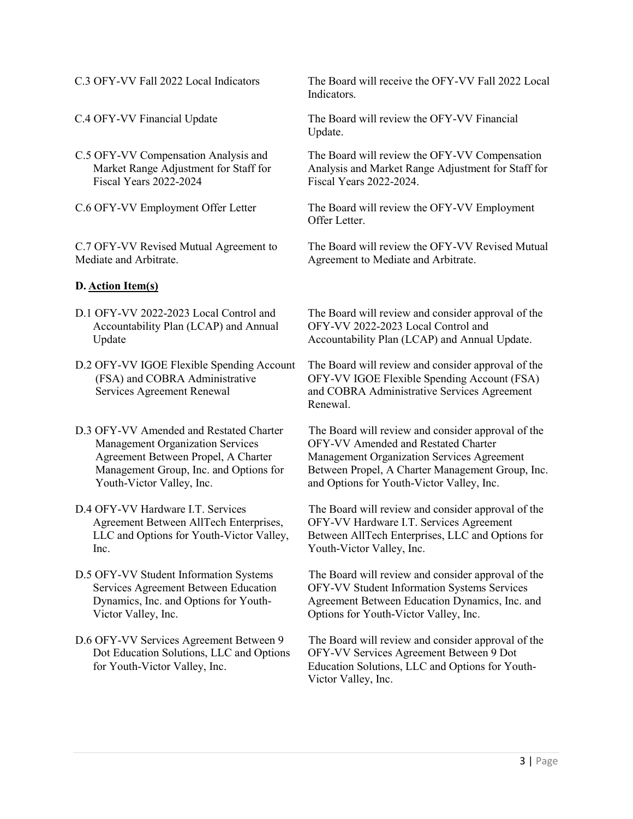- C.5 OFY-VV Compensation Analysis and Market Range Adjustment for Staff for Fiscal Years 2022-2024
- 

C.7 OFY-VV Revised Mutual Agreement to Mediate and Arbitrate.

### **D. Action Item(s)**

- D.1 OFY-VV 2022-2023 Local Control and Accountability Plan (LCAP) and Annual Update
- D.2 OFY-VV IGOE Flexible Spending Account (FSA) and COBRA Administrative Services Agreement Renewal
- D.3 OFY-VV Amended and Restated Charter Management Organization Services Agreement Between Propel, A Charter Management Group, Inc. and Options for Youth-Victor Valley, Inc.
- D.4 OFY-VV Hardware I.T. Services Agreement Between AllTech Enterprises, LLC and Options for Youth-Victor Valley, Inc.
- D.5 OFY-VV Student Information Systems Services Agreement Between Education Dynamics, Inc. and Options for Youth-Victor Valley, Inc.
- D.6 OFY-VV Services Agreement Between 9 Dot Education Solutions, LLC and Options for Youth-Victor Valley, Inc.

C.3 OFY-VV Fall 2022 Local Indicators The Board will receive the OFY-VV Fall 2022 Local Indicators.

C.4 OFY-VV Financial Update The Board will review the OFY-VV Financial Update.

> The Board will review the OFY-VV Compensation Analysis and Market Range Adjustment for Staff for Fiscal Years 2022-2024.

C.6 OFY-VV Employment Offer Letter The Board will review the OFY-VV Employment Offer Letter.

> The Board will review the OFY-VV Revised Mutual Agreement to Mediate and Arbitrate.

The Board will review and consider approval of the OFY-VV 2022-2023 Local Control and Accountability Plan (LCAP) and Annual Update.

The Board will review and consider approval of the OFY-VV IGOE Flexible Spending Account (FSA) and COBRA Administrative Services Agreement Renewal.

The Board will review and consider approval of the OFY-VV Amended and Restated Charter Management Organization Services Agreement Between Propel, A Charter Management Group, Inc. and Options for Youth-Victor Valley, Inc.

The Board will review and consider approval of the OFY-VV Hardware I.T. Services Agreement Between AllTech Enterprises, LLC and Options for Youth-Victor Valley, Inc.

The Board will review and consider approval of the OFY-VV Student Information Systems Services Agreement Between Education Dynamics, Inc. and Options for Youth-Victor Valley, Inc.

The Board will review and consider approval of the OFY-VV Services Agreement Between 9 Dot Education Solutions, LLC and Options for Youth-Victor Valley, Inc.